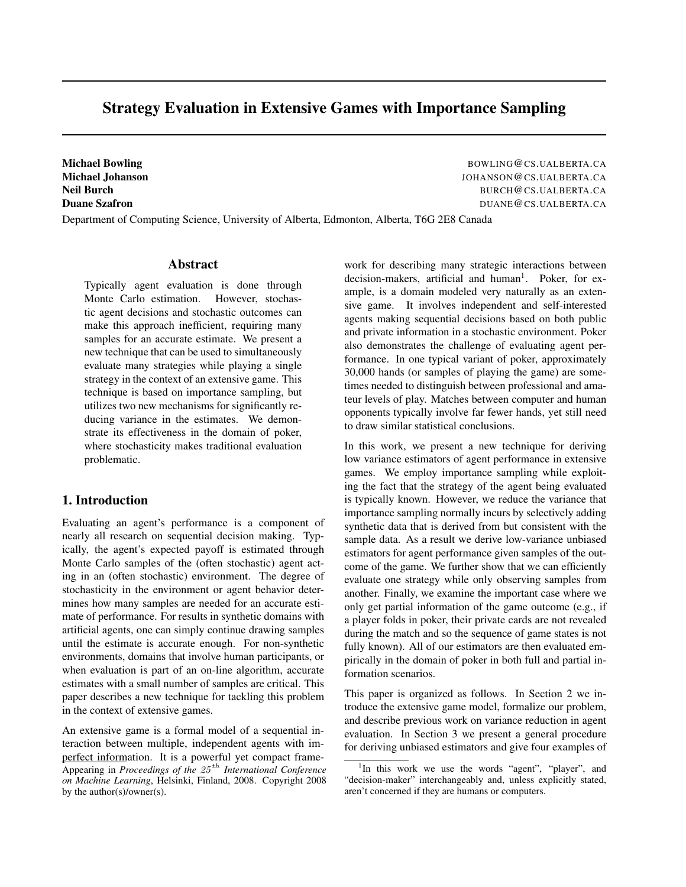# Strategy Evaluation in Extensive Games with Importance Sampling

Department of Computing Science, University of Alberta, Edmonton, Alberta, T6G 2E8 Canada

Michael Bowling Bowling and the settlement of the settlement of the settlement of the settlement of the settlement of the settlement of the settlement of the settlement of the settlement of the settlement of the settlement Michael Johanson **Michael Johanson** Johanson **Johanson (2008)** Johanson **Michael Johanson** Johanson **Johanson** Johanson **Michael Johanson Johanson Johanson Johanson Johanson Johanson Johanson Johanson Johan Neil Burch BURCH AND SURCH BURCH BURCH AND SURCH AND SURCH AND SURCH AND SURCH AND SURCH AND SURCH AND SURCH AND SURCH AND SURCH AND SURCH AND SURCH AND SURCH AND SURCH AND SURCH AND SURCH AND SURCH AND SURCH AND SURCH AN Duane Szafron** DUANE@CS.UALBERTA.CA

Abstract

Typically agent evaluation is done through Monte Carlo estimation. However, stochastic agent decisions and stochastic outcomes can make this approach inefficient, requiring many samples for an accurate estimate. We present a new technique that can be used to simultaneously evaluate many strategies while playing a single strategy in the context of an extensive game. This technique is based on importance sampling, but utilizes two new mechanisms for significantly reducing variance in the estimates. We demonstrate its effectiveness in the domain of poker, where stochasticity makes traditional evaluation problematic.

# 1. Introduction

Evaluating an agent's performance is a component of nearly all research on sequential decision making. Typically, the agent's expected payoff is estimated through Monte Carlo samples of the (often stochastic) agent acting in an (often stochastic) environment. The degree of stochasticity in the environment or agent behavior determines how many samples are needed for an accurate estimate of performance. For results in synthetic domains with artificial agents, one can simply continue drawing samples until the estimate is accurate enough. For non-synthetic environments, domains that involve human participants, or when evaluation is part of an on-line algorithm, accurate estimates with a small number of samples are critical. This paper describes a new technique for tackling this problem in the context of extensive games.

An extensive game is a formal model of a sequential interaction between multiple, independent agents with imperfect information. It is a powerful yet compact frame-Appearing in *Proceedings of the* 25 th *International Conference on Machine Learning*, Helsinki, Finland, 2008. Copyright 2008 by the author(s)/owner(s).

work for describing many strategic interactions between decision-makers, artificial and human<sup>1</sup>. Poker, for example, is a domain modeled very naturally as an extensive game. It involves independent and self-interested agents making sequential decisions based on both public and private information in a stochastic environment. Poker also demonstrates the challenge of evaluating agent performance. In one typical variant of poker, approximately 30,000 hands (or samples of playing the game) are sometimes needed to distinguish between professional and amateur levels of play. Matches between computer and human opponents typically involve far fewer hands, yet still need to draw similar statistical conclusions.

In this work, we present a new technique for deriving low variance estimators of agent performance in extensive games. We employ importance sampling while exploiting the fact that the strategy of the agent being evaluated is typically known. However, we reduce the variance that importance sampling normally incurs by selectively adding synthetic data that is derived from but consistent with the sample data. As a result we derive low-variance unbiased estimators for agent performance given samples of the outcome of the game. We further show that we can efficiently evaluate one strategy while only observing samples from another. Finally, we examine the important case where we only get partial information of the game outcome (e.g., if a player folds in poker, their private cards are not revealed during the match and so the sequence of game states is not fully known). All of our estimators are then evaluated empirically in the domain of poker in both full and partial information scenarios.

This paper is organized as follows. In Section 2 we introduce the extensive game model, formalize our problem, and describe previous work on variance reduction in agent evaluation. In Section 3 we present a general procedure for deriving unbiased estimators and give four examples of

<sup>&</sup>lt;sup>1</sup>In this work we use the words "agent", "player", and "decision-maker" interchangeably and, unless explicitly stated, aren't concerned if they are humans or computers.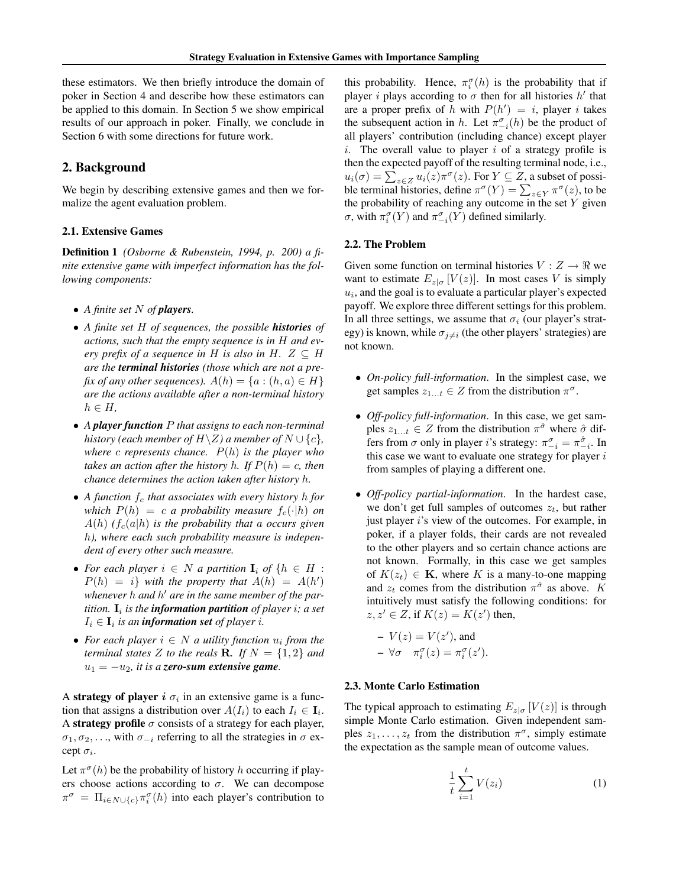these estimators. We then briefly introduce the domain of poker in Section 4 and describe how these estimators can be applied to this domain. In Section 5 we show empirical results of our approach in poker. Finally, we conclude in Section 6 with some directions for future work.

# 2. Background

We begin by describing extensive games and then we formalize the agent evaluation problem.

### 2.1. Extensive Games

Definition 1 *(Osborne & Rubenstein, 1994, p. 200) a finite extensive game with imperfect information has the following components:*

- *A finite set* N *of players.*
- *A finite set* H *of sequences, the possible histories of actions, such that the empty sequence is in* H *and every prefix of a sequence in* H *is also in* H.  $Z \subseteq H$ *are the terminal histories (those which are not a prefix of any other sequences).*  $A(h) = \{a : (h, a) \in H\}$ *are the actions available after a non-terminal history*  $h \in H$ ,
- *A player function* P *that assigns to each non-terminal history (each member of H* $\Z$ *) a member of*  $N \cup \{c\}$ *, where* c *represents* chance.  $P(h)$  *is the player who takes an action after the history* h. If  $P(h) = c$ , then *chance determines the action taken after history* h*.*
- A function  $f_c$  that associates with every history h for *which*  $P(h) = c$  *a* probability measure  $f_c(\cdot|h)$  on  $A(h)$  ( $f_c(a|h)$  *is the probability that a occurs given* h*), where each such probability measure is independent of every other such measure.*
- For each player  $i \in N$  a partition  $\mathbf{I}_i$  of  $\{h \in H :$  $P(h) = i$  with the property that  $A(h) = A(h')$ *whenever* h *and* h <sup>0</sup> *are in the same member of the partition.*  $\mathbf{I}_i$  *is the information partition of player i; a set*  $I_i \in \mathbf{I}_i$  *is an information set of player i.*
- For each player  $i \in N$  a utility function  $u_i$  from the *terminal states* Z *to the reals* **R***. If*  $N = \{1, 2\}$  *and*  $u_1 = -u_2$ , it is a *zero-sum* extensive game.

A strategy of player  $i \sigma_i$  in an extensive game is a function that assigns a distribution over  $A(I_i)$  to each  $I_i \in \mathbf{I}_i$ . A strategy profile  $\sigma$  consists of a strategy for each player,  $\sigma_1, \sigma_2, \ldots$ , with  $\sigma_{-i}$  referring to all the strategies in  $\sigma$  except  $\sigma_i$ .

Let  $\pi^{\sigma}(h)$  be the probability of history h occurring if players choose actions according to  $\sigma$ . We can decompose  $\pi^{\sigma} = \Pi_{i \in N \cup \{c\}} \pi_i^{\sigma}(h)$  into each player's contribution to

this probability. Hence,  $\pi_i^{\sigma}(h)$  is the probability that if player *i* plays according to  $\sigma$  then for all histories  $h'$  that are a proper prefix of h with  $P(h') = i$ , player i takes the subsequent action in h. Let  $\pi_{-i}^{\sigma}(h)$  be the product of all players' contribution (including chance) except player i. The overall value to player i of a strategy profile is then the expected payoff of the resulting terminal node, i.e.,  $u_i(\sigma) = \sum_{z \in Z} u_i(z) \pi^\sigma(z)$ . For  $Y \subseteq Z$ , a subset of possible terminal histories, define  $\pi^{\sigma}(Y) = \sum_{z \in Y} \pi^{\sigma}(z)$ , to be the probability of reaching any outcome in the set  $Y$  given σ, with  $\pi_i^{\sigma}(Y)$  and  $\pi_{-i}^{\sigma}(Y)$  defined similarly.

### 2.2. The Problem

Given some function on terminal histories  $V : Z \to \mathbb{R}$  we want to estimate  $E_{z|\sigma}$  [V(z)]. In most cases V is simply  $u_i$ , and the goal is to evaluate a particular player's expected payoff. We explore three different settings for this problem. In all three settings, we assume that  $\sigma_i$  (our player's strategy) is known, while  $\sigma_{j\neq i}$  (the other players' strategies) are not known.

- *On-policy full-information*. In the simplest case, we get samples  $z_{1...t} \in Z$  from the distribution  $\pi^{\sigma}$ .
- *Off-policy full-information*. In this case, we get samples  $z_{1...t} \in Z$  from the distribution  $\pi^{\hat{\sigma}}$  where  $\hat{\sigma}$  differs from  $\sigma$  only in player *i*'s strategy:  $\pi_{-i}^{\sigma} = \pi_{-i}^{\hat{\sigma}}$ . In this case we want to evaluate one strategy for player  $i$ from samples of playing a different one.
- *Off-policy partial-information*. In the hardest case, we don't get full samples of outcomes  $z_t$ , but rather just player *i*'s view of the outcomes. For example, in poker, if a player folds, their cards are not revealed to the other players and so certain chance actions are not known. Formally, in this case we get samples of  $K(z_t) \in \mathbf{K}$ , where K is a many-to-one mapping and  $z_t$  comes from the distribution  $\pi^{\hat{\sigma}}$  as above. K intuitively must satisfy the following conditions: for  $z, z' \in Z$ , if  $K(z) = K(z')$  then,

$$
- V(z) = V(z'), \text{ and}
$$
  

$$
- \forall \sigma \quad \pi_i^{\sigma}(z) = \pi_i^{\sigma}(z').
$$

#### 2.3. Monte Carlo Estimation

The typical approach to estimating  $E_{z|\sigma}$  [V(z)] is through simple Monte Carlo estimation. Given independent samples  $z_1, \ldots, z_t$  from the distribution  $\pi^{\sigma}$ , simply estimate the expectation as the sample mean of outcome values.

$$
\frac{1}{t}\sum_{i=1}^{t}V(z_i)
$$
 (1)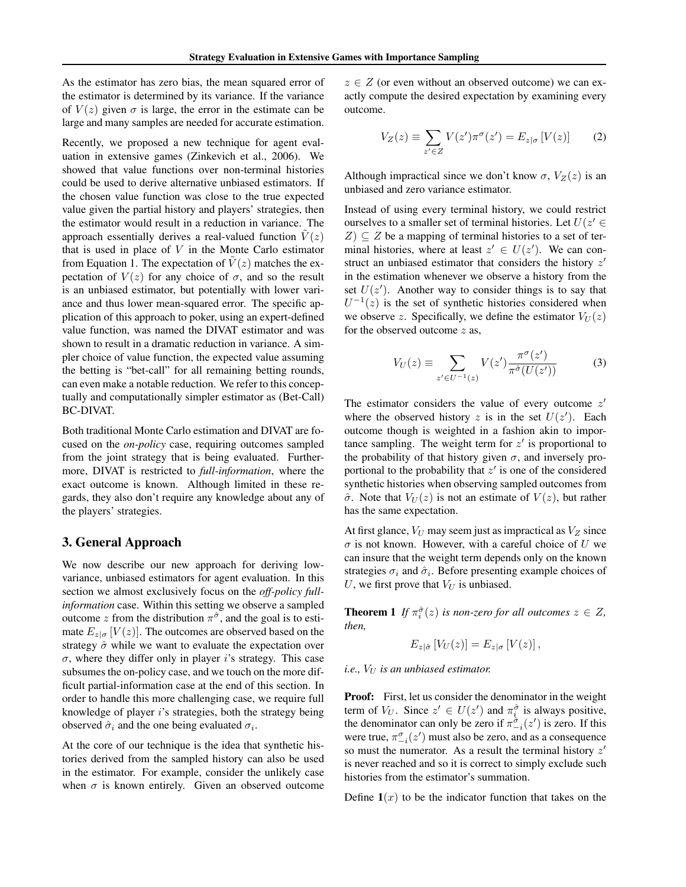As the estimator has zero bias, the mean squared error of the estimator is determined by its variance. If the variance of  $V(z)$  given  $\sigma$  is large, the error in the estimate can be large and many samples are needed for accurate estimation.

Recently, we proposed a new technique for agent evaluation in extensive games (Zinkevich et al., 2006). We showed that value functions over non-terminal histories could be used to derive alternative unbiased estimators. If the chosen value function was close to the true expected value given the partial history and players' strategies, then the estimator would result in a reduction in variance. The approach essentially derives a real-valued function  $V(z)$ that is used in place of  $V$  in the Monte Carlo estimator from Equation 1. The expectation of  $\hat{V}(z)$  matches the expectation of  $V(z)$  for any choice of  $\sigma$ , and so the result is an unbiased estimator, but potentially with lower variance and thus lower mean-squared error. The specific application of this approach to poker, using an expert-defined value function, was named the DIVAT estimator and was shown to result in a dramatic reduction in variance. A simpler choice of value function, the expected value assuming the betting is "bet-call" for all remaining betting rounds, can even make a notable reduction. We refer to this conceptually and computationally simpler estimator as (Bet-Call) BC-DIVAT.

Both traditional Monte Carlo estimation and DIVAT are focused on the *on-policy* case, requiring outcomes sampled from the joint strategy that is being evaluated. Furthermore, DIVAT is restricted to *full-information*, where the exact outcome is known. Although limited in these regards, they also don't require any knowledge about any of the players' strategies.

### 3. General Approach

We now describe our new approach for deriving lowvariance, unbiased estimators for agent evaluation. In this section we almost exclusively focus on the *off-policy fullinformation* case. Within this setting we observe a sampled outcome z from the distribution  $\pi^{\hat{\sigma}}$ , and the goal is to estimate  $E_{z|\sigma}$  [V(z)]. The outcomes are observed based on the strategy  $\hat{\sigma}$  while we want to evaluate the expectation over  $\sigma$ , where they differ only in player i's strategy. This case subsumes the on-policy case, and we touch on the more difficult partial-information case at the end of this section. In order to handle this more challenging case, we require full knowledge of player i's strategies, both the strategy being observed  $\hat{\sigma}_i$  and the one being evaluated  $\sigma_i$ .

At the core of our technique is the idea that synthetic histories derived from the sampled history can also be used in the estimator. For example, consider the unlikely case when  $\sigma$  is known entirely. Given an observed outcome

 $z \in Z$  (or even without an observed outcome) we can exactly compute the desired expectation by examining every outcome.

$$
V_Z(z) \equiv \sum_{z' \in Z} V(z') \pi^{\sigma}(z') = E_{z|\sigma} [V(z)] \tag{2}
$$

Although impractical since we don't know  $\sigma$ ,  $V_Z(z)$  is an unbiased and zero variance estimator.

Instead of using every terminal history, we could restrict ourselves to a smaller set of terminal histories. Let  $U(z^{\prime}) \in$  $Z \subset Z$  be a mapping of terminal histories to a set of terminal histories, where at least  $z' \in U(z')$ . We can construct an unbiased estimator that considers the history  $z'$ in the estimation whenever we observe a history from the set  $U(z')$ . Another way to consider things is to say that  $U^{-1}(z)$  is the set of synthetic histories considered when we observe z. Specifically, we define the estimator  $V_U(z)$ for the observed outcome z as,

$$
V_U(z) \equiv \sum_{z' \in U^{-1}(z)} V(z') \frac{\pi^{\sigma}(z')}{\pi^{\hat{\sigma}}(U(z'))}
$$
 (3)

The estimator considers the value of every outcome  $z'$ where the observed history z is in the set  $U(z')$ . Each outcome though is weighted in a fashion akin to importance sampling. The weight term for  $z'$  is proportional to the probability of that history given  $\sigma$ , and inversely proportional to the probability that  $z'$  is one of the considered synthetic histories when observing sampled outcomes from  $\hat{\sigma}$ . Note that  $V_U(z)$  is not an estimate of  $V(z)$ , but rather has the same expectation.

At first glance,  $V_U$  may seem just as impractical as  $V_Z$  since  $\sigma$  is not known. However, with a careful choice of U we can insure that the weight term depends only on the known strategies  $\sigma_i$  and  $\hat{\sigma}_i$ . Before presenting example choices of U, we first prove that  $V_U$  is unbiased.

**Theorem 1** If  $\pi_i^{\hat{\sigma}}(z)$  is non-zero for all outcomes  $z \in Z$ , *then,*

$$
E_{z|\hat{\sigma}}[V_U(z)] = E_{z|\sigma}[V(z)],
$$

 $i.e., V<sub>U</sub>$  *is an unbiased estimator.* 

Proof: First, let us consider the denominator in the weight term of  $V_U$ . Since  $z' \in U(z')$  and  $\pi_i^{\hat{\sigma}}$  is always positive, the denominator can only be zero if  $\pi \hat{c}_i(z')$  is zero. If this were true,  $\pi_{-i}^{\sigma}(z')$  must also be zero, and as a consequence so must the numerator. As a result the terminal history  $z'$ is never reached and so it is correct to simply exclude such histories from the estimator's summation.

Define  $\mathbf{1}(x)$  to be the indicator function that takes on the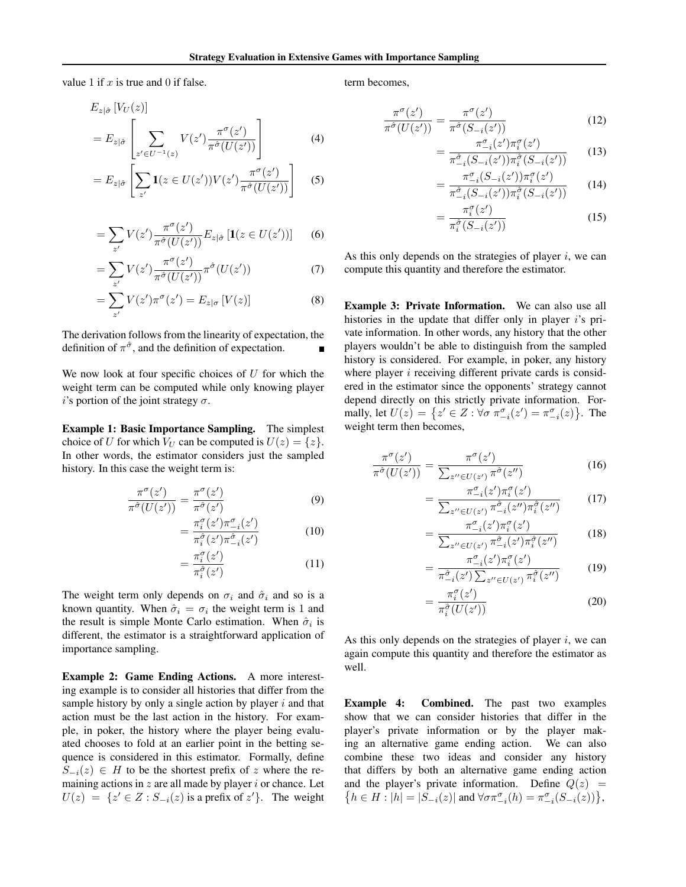value 1 if  $x$  is true and 0 if false.

$$
E_{z|\hat{\sigma}}[V_U(z)]
$$
  
=  $E_{z|\hat{\sigma}}\left[\sum_{z'\in U^{-1}(z)} V(z') \frac{\pi^{\sigma}(z')}{\pi^{\hat{\sigma}}(U(z'))}\right]$  (4)

$$
=E_{z|\hat{\sigma}}\left[\sum_{z'}\mathbf{1}(z\in U(z'))V(z')\frac{\pi^{\sigma}(z')}{\pi^{\hat{\sigma}}(U(z'))}\right]
$$
(5)

$$
= \sum_{z'} V(z') \frac{\pi^{\sigma}(z')}{\pi^{\hat{\sigma}}(U(z'))} E_{z|\hat{\sigma}} \left[ \mathbf{1}(z \in U(z')) \right] \tag{6}
$$

$$
=\sum_{z'} V(z') \frac{\pi^{\sigma}(z')}{\pi^{\hat{\sigma}}(U(z'))} \pi^{\hat{\sigma}}(U(z')) \tag{7}
$$

$$
=\sum_{z'} V(z')\pi^{\sigma}(z') = E_{z|\sigma}[V(z)] \tag{8}
$$

The derivation follows from the linearity of expectation, the definition of  $\pi^{\hat{\sigma}}$ , and the definition of expectation.

We now look at four specific choices of  $U$  for which the weight term can be computed while only knowing player i's portion of the joint strategy  $\sigma$ .

Example 1: Basic Importance Sampling. The simplest choice of U for which  $V_U$  can be computed is  $U(z) = \{z\}.$ In other words, the estimator considers just the sampled history. In this case the weight term is:

$$
\frac{\pi^{\sigma}(z')}{\pi^{\hat{\sigma}}(U(z'))} = \frac{\pi^{\sigma}(z')}{\pi^{\hat{\sigma}}(z')}
$$
\n(9)

$$
= \frac{\pi_i^{\sigma}(z')\pi_{-i}^{\sigma}(z')}{\pi_i^{\hat{\sigma}}(z')\pi_{-i}^{\hat{\sigma}}(z')} \tag{10}
$$

$$
=\frac{\pi_i^{\sigma}(z')}{\pi_i^{\hat{\sigma}}(z')} \tag{11}
$$

The weight term only depends on  $\sigma_i$  and  $\hat{\sigma}_i$  and so is a known quantity. When  $\hat{\sigma}_i = \sigma_i$  the weight term is 1 and the result is simple Monte Carlo estimation. When  $\hat{\sigma}_i$  is different, the estimator is a straightforward application of importance sampling.

Example 2: Game Ending Actions. A more interesting example is to consider all histories that differ from the sample history by only a single action by player  $i$  and that action must be the last action in the history. For example, in poker, the history where the player being evaluated chooses to fold at an earlier point in the betting sequence is considered in this estimator. Formally, define  $S_{-i}(z) \in H$  to be the shortest prefix of z where the remaining actions in  $z$  are all made by player  $i$  or chance. Let  $U(z) = \{z' \in Z : S_{-i}(z) \text{ is a prefix of } z'\}.$  The weight

term becomes,

$$
\frac{\pi^{\sigma}(z')}{\pi^{\hat{\sigma}}(U(z'))} = \frac{\pi^{\sigma}(z')}{\pi^{\hat{\sigma}}(S_{-i}(z'))}
$$
\n(12)

$$
= \frac{\pi_{-i}^{\sigma}(z')\pi_i^{\sigma}(z')}{\pi_{-i}^{\hat{\sigma}}(S_{-i}(z'))\pi_i^{\hat{\sigma}}(S_{-i}(z'))}
$$
(13)

$$
= \frac{\pi_{-i}^{\sigma}(S_{-i}(z'))\pi_i^{\sigma}(z')}{\pi_{-i}^{\hat{\sigma}}(S_{-i}(z'))\pi_i^{\hat{\sigma}}(S_{-i}(z'))}
$$
(14)

$$
=\frac{\pi_i^{\sigma}(z')}{\pi_i^{\hat{\sigma}}(S_{-i}(z'))}
$$
\n(15)

As this only depends on the strategies of player  $i$ , we can compute this quantity and therefore the estimator.

=

Example 3: Private Information. We can also use all histories in the update that differ only in player  $i$ 's private information. In other words, any history that the other players wouldn't be able to distinguish from the sampled history is considered. For example, in poker, any history where player  $i$  receiving different private cards is considered in the estimator since the opponents' strategy cannot depend directly on this strictly private information. Formally, let  $U(z) = \{ z' \in Z : \forall \sigma \pi_{-i}^{\sigma}(z') = \pi_{-i}^{\sigma}(z) \}.$  The weight term then becomes,

$$
\frac{\pi^{\sigma}(z')}{\pi^{\hat{\sigma}}(U(z'))} = \frac{\pi^{\sigma}(z')}{\sum_{z'' \in U(z')} \pi^{\hat{\sigma}}(z'')}
$$
\n(16)

$$
=\frac{\pi_{-i}^{\sigma}(z')\pi_i^{\sigma}(z')}{\sum_{z''\in U(z')} \pi_{-i}^{\hat{\sigma}}(z'')\pi_i^{\hat{\sigma}}(z'')} \qquad (17)
$$

$$
= \frac{\pi_{-i}^{\sigma}(z')\pi_i^{\sigma}(z')}{\sum_{z''\in U(z')}\pi_{-i}^{\hat{\sigma}}(z')\pi_i^{\hat{\sigma}}(z'')} \qquad (18)
$$

$$
=\frac{\pi_{-i}^{\sigma}(z')\pi_i^{\sigma}(z')}{\pi_{-i}^{\hat{\sigma}}(z')\sum_{z''\in U(z')}\pi_i^{\hat{\sigma}}(z'')} \qquad (19)
$$

$$
=\frac{\pi_i^{\sigma}(z')}{\pi_i^{\hat{\sigma}}(U(z'))}
$$
\n(20)

As this only depends on the strategies of player  $i$ , we can again compute this quantity and therefore the estimator as well.

Example 4: Combined. The past two examples show that we can consider histories that differ in the player's private information or by the player making an alternative game ending action. We can also combine these two ideas and consider any history that differs by both an alternative game ending action and the player's private information. Define  $Q(z)$  =  $\big\{h\in H:|h|=|S_{-i}(z)|\text{ and } \forall \sigma\pi_{-i}^{\sigma}(h)=\pi_{-i}^{\sigma}(S_{-i}(z))\big\},$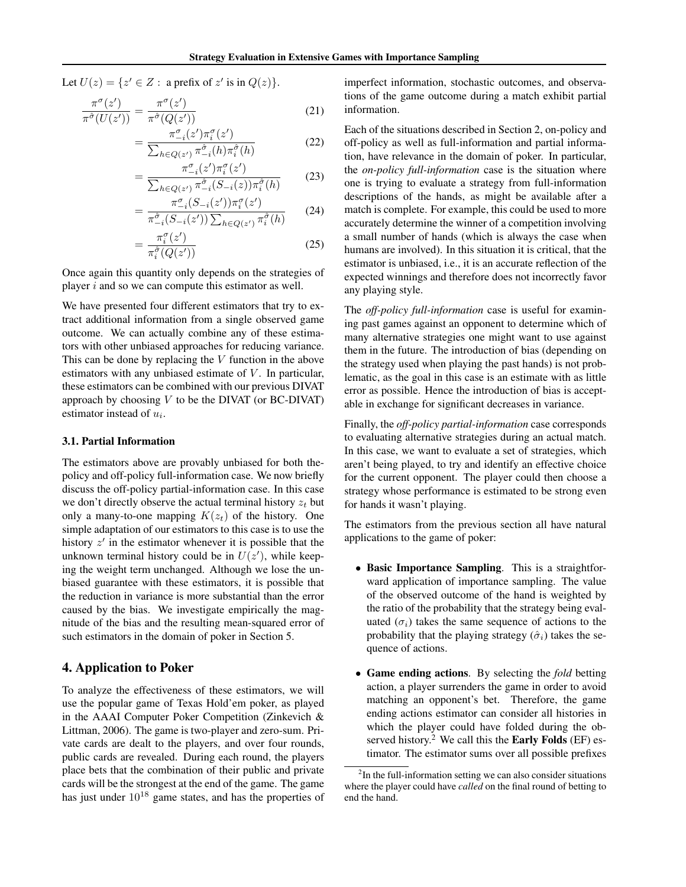Let  $U(z) = \{z' \in Z : \text{ a prefix of } z' \text{ is in } Q(z)\}.$ 

=

$$
\frac{\pi^{\sigma}(z')}{\pi^{\hat{\sigma}}(U(z'))} = \frac{\pi^{\sigma}(z')}{\pi^{\hat{\sigma}}(Q(z'))}
$$
\n(21)

$$
=\frac{\pi_{-i}^{\sigma}(z')\pi_i^{\sigma}(z')}{\sum_{h\in Q(z')}\pi_{-i}^{\hat{\sigma}}(h)\pi_i^{\hat{\sigma}}(h)}\tag{22}
$$

$$
=\frac{\pi_{-i}^{\sigma}(z')\pi_i^{\sigma}(z')}{\sum_{h\in Q(z')}\pi_{-i}^{\hat{\sigma}}(S_{-i}(z))\pi_i^{\hat{\sigma}}(h)}\qquad(23)
$$

$$
= \frac{\pi_{-i}^{\sigma}(S_{-i}(z'))\pi_i^{\sigma}(z')}{\pi_{-i}^{\hat{\sigma}}(S_{-i}(z'))\sum_{h \in Q(z')} \pi_i^{\hat{\sigma}}(h)} \qquad (24)
$$

$$
=\frac{\pi_i^{\sigma}(z')}{\pi_i^{\hat{\sigma}}(Q(z'))}
$$
\n(25)

Once again this quantity only depends on the strategies of player i and so we can compute this estimator as well.

We have presented four different estimators that try to extract additional information from a single observed game outcome. We can actually combine any of these estimators with other unbiased approaches for reducing variance. This can be done by replacing the V function in the above estimators with any unbiased estimate of  $V$ . In particular, these estimators can be combined with our previous DIVAT approach by choosing  $V$  to be the DIVAT (or BC-DIVAT) estimator instead of  $u_i$ .

#### 3.1. Partial Information

The estimators above are provably unbiased for both thepolicy and off-policy full-information case. We now briefly discuss the off-policy partial-information case. In this case we don't directly observe the actual terminal history  $z_t$  but only a many-to-one mapping  $K(z_t)$  of the history. One simple adaptation of our estimators to this case is to use the history  $z'$  in the estimator whenever it is possible that the unknown terminal history could be in  $U(z')$ , while keeping the weight term unchanged. Although we lose the unbiased guarantee with these estimators, it is possible that the reduction in variance is more substantial than the error caused by the bias. We investigate empirically the magnitude of the bias and the resulting mean-squared error of such estimators in the domain of poker in Section 5.

# 4. Application to Poker

To analyze the effectiveness of these estimators, we will use the popular game of Texas Hold'em poker, as played in the AAAI Computer Poker Competition (Zinkevich & Littman, 2006). The game is two-player and zero-sum. Private cards are dealt to the players, and over four rounds, public cards are revealed. During each round, the players place bets that the combination of their public and private cards will be the strongest at the end of the game. The game has just under  $10^{18}$  game states, and has the properties of imperfect information, stochastic outcomes, and observations of the game outcome during a match exhibit partial information.

Each of the situations described in Section 2, on-policy and off-policy as well as full-information and partial information, have relevance in the domain of poker. In particular, the *on-policy full-information* case is the situation where one is trying to evaluate a strategy from full-information descriptions of the hands, as might be available after a match is complete. For example, this could be used to more accurately determine the winner of a competition involving a small number of hands (which is always the case when humans are involved). In this situation it is critical, that the estimator is unbiased, i.e., it is an accurate reflection of the expected winnings and therefore does not incorrectly favor any playing style.

The *off-policy full-information* case is useful for examining past games against an opponent to determine which of many alternative strategies one might want to use against them in the future. The introduction of bias (depending on the strategy used when playing the past hands) is not problematic, as the goal in this case is an estimate with as little error as possible. Hence the introduction of bias is acceptable in exchange for significant decreases in variance.

Finally, the *off-policy partial-information* case corresponds to evaluating alternative strategies during an actual match. In this case, we want to evaluate a set of strategies, which aren't being played, to try and identify an effective choice for the current opponent. The player could then choose a strategy whose performance is estimated to be strong even for hands it wasn't playing.

The estimators from the previous section all have natural applications to the game of poker:

- Basic Importance Sampling. This is a straightforward application of importance sampling. The value of the observed outcome of the hand is weighted by the ratio of the probability that the strategy being evaluated  $(\sigma_i)$  takes the same sequence of actions to the probability that the playing strategy  $(\hat{\sigma}_i)$  takes the sequence of actions.
- Game ending actions. By selecting the *fold* betting action, a player surrenders the game in order to avoid matching an opponent's bet. Therefore, the game ending actions estimator can consider all histories in which the player could have folded during the observed history.<sup>2</sup> We call this the **Early Folds** (EF) estimator. The estimator sums over all possible prefixes

<sup>&</sup>lt;sup>2</sup>In the full-information setting we can also consider situations where the player could have *called* on the final round of betting to end the hand.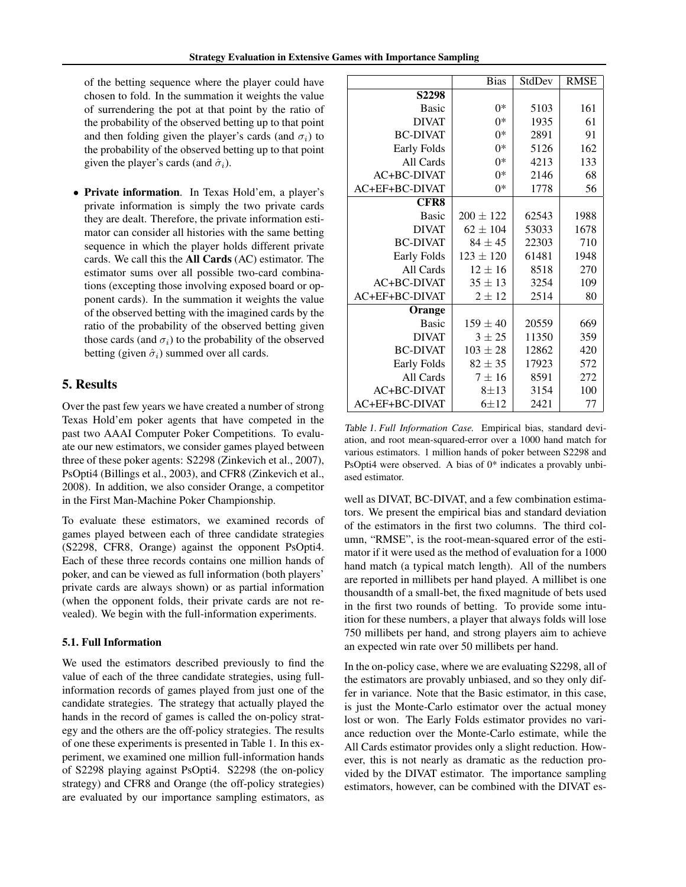of the betting sequence where the player could have chosen to fold. In the summation it weights the value of surrendering the pot at that point by the ratio of the probability of the observed betting up to that point and then folding given the player's cards (and  $\sigma_i$ ) to the probability of the observed betting up to that point given the player's cards (and  $\hat{\sigma}_i$ ).

• Private information. In Texas Hold'em, a player's private information is simply the two private cards they are dealt. Therefore, the private information estimator can consider all histories with the same betting sequence in which the player holds different private cards. We call this the All Cards (AC) estimator. The estimator sums over all possible two-card combinations (excepting those involving exposed board or opponent cards). In the summation it weights the value of the observed betting with the imagined cards by the ratio of the probability of the observed betting given those cards (and  $\sigma_i$ ) to the probability of the observed betting (given  $\hat{\sigma}_i$ ) summed over all cards.

## 5. Results

Over the past few years we have created a number of strong Texas Hold'em poker agents that have competed in the past two AAAI Computer Poker Competitions. To evaluate our new estimators, we consider games played between three of these poker agents: S2298 (Zinkevich et al., 2007), PsOpti4 (Billings et al., 2003), and CFR8 (Zinkevich et al., 2008). In addition, we also consider Orange, a competitor in the First Man-Machine Poker Championship.

To evaluate these estimators, we examined records of games played between each of three candidate strategies (S2298, CFR8, Orange) against the opponent PsOpti4. Each of these three records contains one million hands of poker, and can be viewed as full information (both players' private cards are always shown) or as partial information (when the opponent folds, their private cards are not revealed). We begin with the full-information experiments.

#### 5.1. Full Information

We used the estimators described previously to find the value of each of the three candidate strategies, using fullinformation records of games played from just one of the candidate strategies. The strategy that actually played the hands in the record of games is called the on-policy strategy and the others are the off-policy strategies. The results of one these experiments is presented in Table 1. In this experiment, we examined one million full-information hands of S2298 playing against PsOpti4. S2298 (the on-policy strategy) and CFR8 and Orange (the off-policy strategies) are evaluated by our importance sampling estimators, as

|                    | <b>Bias</b>   | StdDev | <b>RMSE</b> |
|--------------------|---------------|--------|-------------|
| S2298              |               |        |             |
| <b>Basic</b>       | $0*$          | 5103   | 161         |
| <b>DIVAT</b>       | $0*$          | 1935   | 61          |
| <b>BC-DIVAT</b>    | $0*$          | 2891   | 91          |
| <b>Early Folds</b> | $0*$          | 5126   | 162         |
| All Cards          | $0*$          | 4213   | 133         |
| AC+BC-DIVAT        | $0*$          | 2146   | 68          |
| AC+EF+BC-DIVAT     | $0*$          | 1778   | 56          |
| CFR8               |               |        |             |
| Basic              | $200 \pm 122$ | 62543  | 1988        |
| <b>DIVAT</b>       | $62 \pm 104$  | 53033  | 1678        |
| <b>BC-DIVAT</b>    | $84 + 45$     | 22303  | 710         |
| <b>Early Folds</b> | $123 \pm 120$ | 61481  | 1948        |
| All Cards          | $12 \pm 16$   | 8518   | 270         |
| AC+BC-DIVAT        | $35 + 13$     | 3254   | 109         |
| AC+EF+BC-DIVAT     | $2 \pm 12$    | 2514   | 80          |
| Orange             |               |        |             |
| <b>Basic</b>       | $159 + 40$    | 20559  | 669         |
| <b>DIVAT</b>       | $3 + 25$      | 11350  | 359         |
| <b>BC-DIVAT</b>    | $103 + 28$    | 12862  | 420         |
| <b>Early Folds</b> | $82 \pm 35$   | 17923  | 572         |
| All Cards          | $7 \pm 16$    | 8591   | 272         |
| AC+BC-DIVAT        | $8 + 13$      | 3154   | 100         |
| AC+EF+BC-DIVAT     | $6\pm12$      | 2421   | 77          |

Table 1. *Full Information Case.* Empirical bias, standard deviation, and root mean-squared-error over a 1000 hand match for various estimators. 1 million hands of poker between S2298 and PsOpti4 were observed. A bias of 0\* indicates a provably unbiased estimator.

well as DIVAT, BC-DIVAT, and a few combination estimators. We present the empirical bias and standard deviation of the estimators in the first two columns. The third column, "RMSE", is the root-mean-squared error of the estimator if it were used as the method of evaluation for a 1000 hand match (a typical match length). All of the numbers are reported in millibets per hand played. A millibet is one thousandth of a small-bet, the fixed magnitude of bets used in the first two rounds of betting. To provide some intuition for these numbers, a player that always folds will lose 750 millibets per hand, and strong players aim to achieve an expected win rate over 50 millibets per hand.

In the on-policy case, where we are evaluating S2298, all of the estimators are provably unbiased, and so they only differ in variance. Note that the Basic estimator, in this case, is just the Monte-Carlo estimator over the actual money lost or won. The Early Folds estimator provides no variance reduction over the Monte-Carlo estimate, while the All Cards estimator provides only a slight reduction. However, this is not nearly as dramatic as the reduction provided by the DIVAT estimator. The importance sampling estimators, however, can be combined with the DIVAT es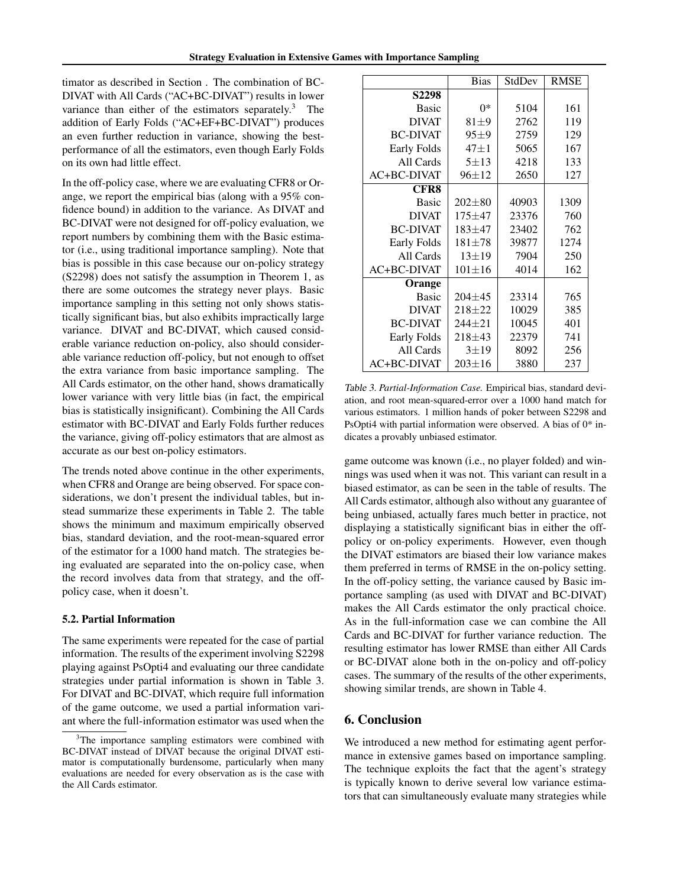timator as described in Section . The combination of BC-DIVAT with All Cards ("AC+BC-DIVAT") results in lower variance than either of the estimators separately.<sup>3</sup> The addition of Early Folds ("AC+EF+BC-DIVAT") produces an even further reduction in variance, showing the bestperformance of all the estimators, even though Early Folds on its own had little effect.

In the off-policy case, where we are evaluating CFR8 or Orange, we report the empirical bias (along with a 95% confidence bound) in addition to the variance. As DIVAT and BC-DIVAT were not designed for off-policy evaluation, we report numbers by combining them with the Basic estimator (i.e., using traditional importance sampling). Note that bias is possible in this case because our on-policy strategy (S2298) does not satisfy the assumption in Theorem 1, as there are some outcomes the strategy never plays. Basic importance sampling in this setting not only shows statistically significant bias, but also exhibits impractically large variance. DIVAT and BC-DIVAT, which caused considerable variance reduction on-policy, also should considerable variance reduction off-policy, but not enough to offset the extra variance from basic importance sampling. The All Cards estimator, on the other hand, shows dramatically lower variance with very little bias (in fact, the empirical bias is statistically insignificant). Combining the All Cards estimator with BC-DIVAT and Early Folds further reduces the variance, giving off-policy estimators that are almost as accurate as our best on-policy estimators.

The trends noted above continue in the other experiments, when CFR8 and Orange are being observed. For space considerations, we don't present the individual tables, but instead summarize these experiments in Table 2. The table shows the minimum and maximum empirically observed bias, standard deviation, and the root-mean-squared error of the estimator for a 1000 hand match. The strategies being evaluated are separated into the on-policy case, when the record involves data from that strategy, and the offpolicy case, when it doesn't.

#### 5.2. Partial Information

The same experiments were repeated for the case of partial information. The results of the experiment involving S2298 playing against PsOpti4 and evaluating our three candidate strategies under partial information is shown in Table 3. For DIVAT and BC-DIVAT, which require full information of the game outcome, we used a partial information variant where the full-information estimator was used when the

|                    | <b>Bias</b>  | StdDev | <b>RMSE</b> |
|--------------------|--------------|--------|-------------|
| <b>S2298</b>       |              |        |             |
| <b>Basic</b>       | ∩*           | 5104   | 161         |
| <b>DIVAT</b>       | $81\pm9$     | 2762   | 119         |
| <b>BC-DIVAT</b>    | $95 + 9$     | 2759   | 129         |
| Early Folds        | $47 + 1$     | 5065   | 167         |
| All Cards          | $5 + 13$     | 4218   | 133         |
| AC+BC-DIVAT        | $96 + 12$    | 2650   | 127         |
| CFR8               |              |        |             |
| <b>Basic</b>       | $202\pm80$   | 40903  | 1309        |
| <b>DIVAT</b>       | $175 + 47$   | 23376  | 760         |
| <b>BC-DIVAT</b>    | $183 + 47$   | 23402  | 762         |
| <b>Early Folds</b> | $181 + 78$   | 39877  | 1274        |
| All Cards          | $13 + 19$    | 7904   | 250         |
| AC+BC-DIVAT        | $101 \pm 16$ | 4014   | 162         |
| Orange             |              |        |             |
| <b>Basic</b>       | $204 + 45$   | 23314  | 765         |
| <b>DIVAT</b>       | $218 + 22$   | 10029  | 385         |
| <b>BC-DIVAT</b>    | $244 + 21$   | 10045  | 401         |
| Early Folds        | $218 + 43$   | 22379  | 741         |
| All Cards          | $3 + 19$     | 8092   | 256         |
| AC+BC-DIVAT        | $203 \pm 16$ | 3880   | 237         |

Table 3. *Partial-Information Case.* Empirical bias, standard deviation, and root mean-squared-error over a 1000 hand match for various estimators. 1 million hands of poker between S2298 and PsOpti4 with partial information were observed. A bias of 0\* indicates a provably unbiased estimator.

game outcome was known (i.e., no player folded) and winnings was used when it was not. This variant can result in a biased estimator, as can be seen in the table of results. The All Cards estimator, although also without any guarantee of being unbiased, actually fares much better in practice, not displaying a statistically significant bias in either the offpolicy or on-policy experiments. However, even though the DIVAT estimators are biased their low variance makes them preferred in terms of RMSE in the on-policy setting. In the off-policy setting, the variance caused by Basic importance sampling (as used with DIVAT and BC-DIVAT) makes the All Cards estimator the only practical choice. As in the full-information case we can combine the All Cards and BC-DIVAT for further variance reduction. The resulting estimator has lower RMSE than either All Cards or BC-DIVAT alone both in the on-policy and off-policy cases. The summary of the results of the other experiments, showing similar trends, are shown in Table 4.

# 6. Conclusion

We introduced a new method for estimating agent performance in extensive games based on importance sampling. The technique exploits the fact that the agent's strategy is typically known to derive several low variance estimators that can simultaneously evaluate many strategies while

The importance sampling estimators were combined with BC-DIVAT instead of DIVAT because the original DIVAT estimator is computationally burdensome, particularly when many evaluations are needed for every observation as is the case with the All Cards estimator.